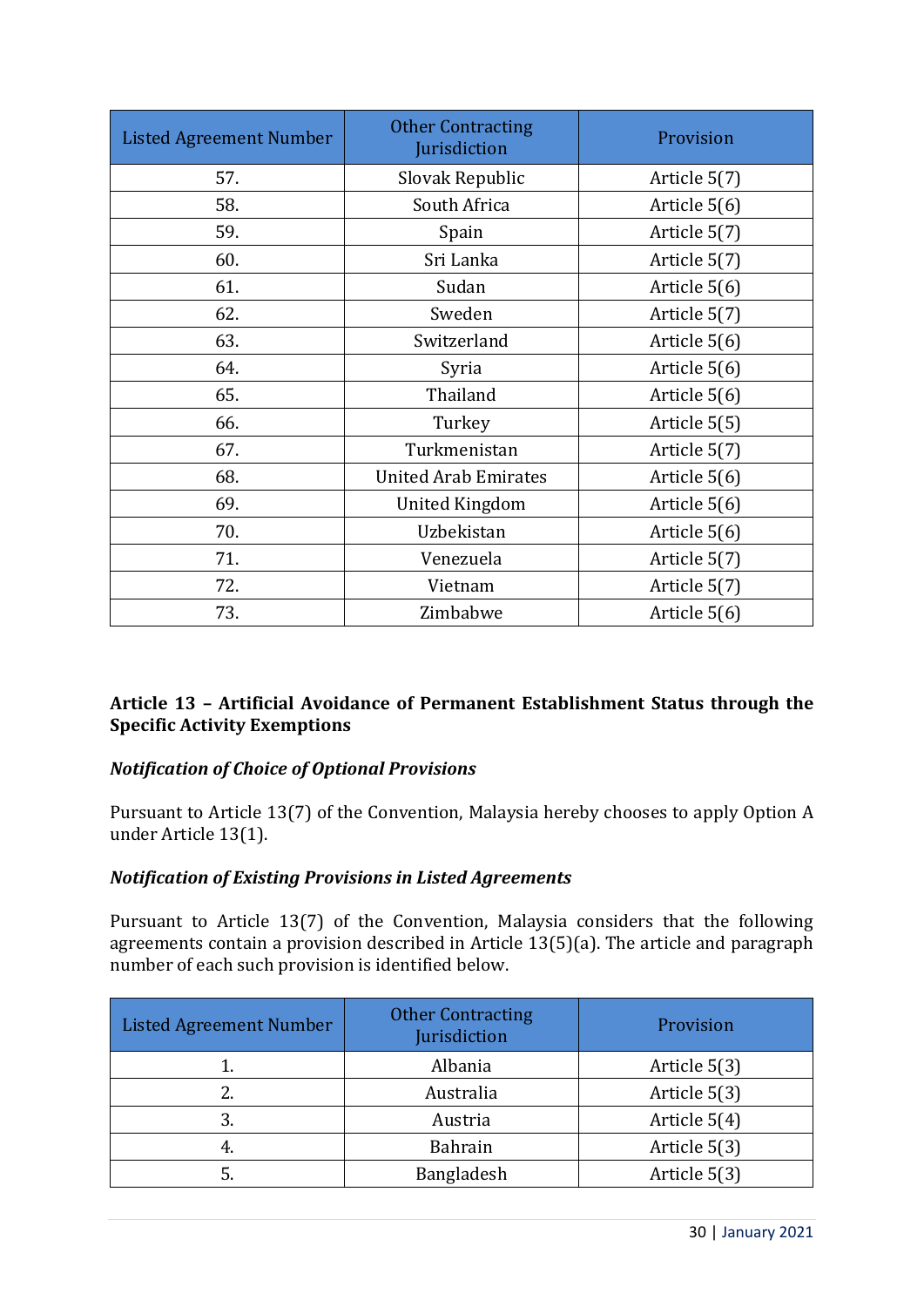| <b>Listed Agreement Number</b> | <b>Other Contracting</b><br>Jurisdiction | Provision    |
|--------------------------------|------------------------------------------|--------------|
| 57.                            | Slovak Republic                          | Article 5(7) |
| 58.                            | South Africa                             | Article 5(6) |
| 59.                            | Spain                                    | Article 5(7) |
| 60.                            | Sri Lanka                                | Article 5(7) |
| 61.                            | Sudan                                    | Article 5(6) |
| 62.                            | Sweden                                   | Article 5(7) |
| 63.                            | Switzerland                              | Article 5(6) |
| 64.                            | Syria                                    | Article 5(6) |
| 65.                            | Thailand                                 | Article 5(6) |
| 66.                            | Turkey                                   | Article 5(5) |
| 67.                            | Turkmenistan                             | Article 5(7) |
| 68.                            | <b>United Arab Emirates</b>              | Article 5(6) |
| 69.                            | <b>United Kingdom</b>                    | Article 5(6) |
| 70.                            | Uzbekistan                               | Article 5(6) |
| 71.                            | Venezuela                                | Article 5(7) |
| 72.                            | Vietnam                                  | Article 5(7) |
| 73.                            | Zimbabwe                                 | Article 5(6) |

## **Article 13 – Artificial Avoidance of Permanent Establishment Status through the Specific Activity Exemptions**

## *Notification of Choice of Optional Provisions*

Pursuant to Article 13(7) of the Convention, Malaysia hereby chooses to apply Option A under Article 13(1).

## *Notification of Existing Provisions in Listed Agreements*

Pursuant to Article 13(7) of the Convention, Malaysia considers that the following agreements contain a provision described in Article 13(5)(a). The article and paragraph number of each such provision is identified below.

| <b>Listed Agreement Number</b> | <b>Other Contracting</b><br>Jurisdiction | Provision    |
|--------------------------------|------------------------------------------|--------------|
|                                | Albania                                  | Article 5(3) |
|                                | Australia                                | Article 5(3) |
| 3.                             | Austria                                  | Article 5(4) |
| 4.                             | Bahrain                                  | Article 5(3) |
|                                | Bangladesh                               | Article 5(3) |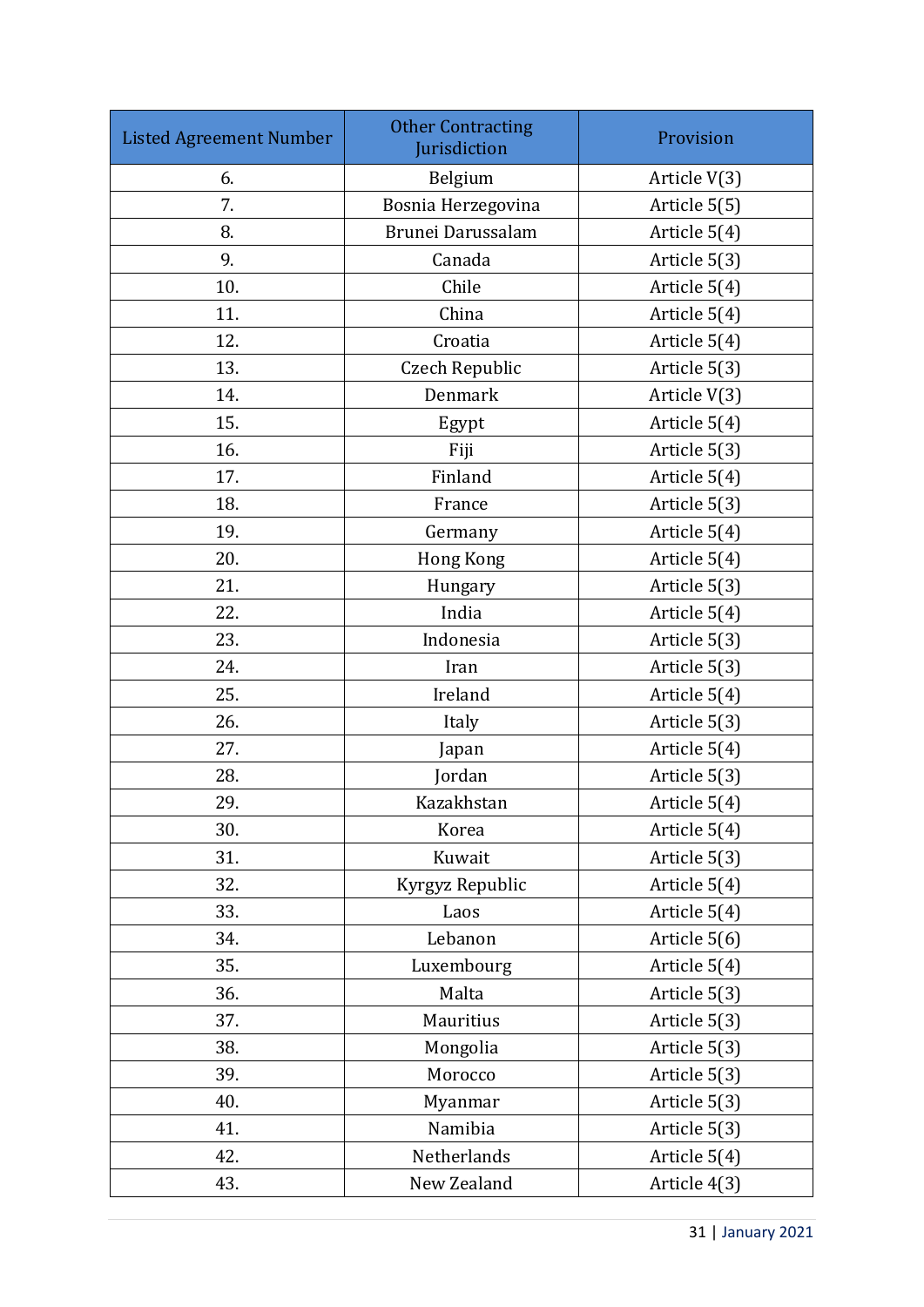| <b>Listed Agreement Number</b> | <b>Other Contracting</b><br>Jurisdiction | Provision    |
|--------------------------------|------------------------------------------|--------------|
| 6.                             | Belgium                                  | Article V(3) |
| 7.                             | Bosnia Herzegovina                       | Article 5(5) |
| 8.                             | Brunei Darussalam                        | Article 5(4) |
| 9.                             | Canada                                   | Article 5(3) |
| 10.                            | Chile                                    | Article 5(4) |
| 11.                            | China                                    | Article 5(4) |
| 12.                            | Croatia                                  | Article 5(4) |
| 13.                            | Czech Republic                           | Article 5(3) |
| 14.                            | Denmark                                  | Article V(3) |
| 15.                            | Egypt                                    | Article 5(4) |
| 16.                            | Fiji                                     | Article 5(3) |
| 17.                            | Finland                                  | Article 5(4) |
| 18.                            | France                                   | Article 5(3) |
| 19.                            | Germany                                  | Article 5(4) |
| 20.                            | Hong Kong                                | Article 5(4) |
| 21.                            | Hungary                                  | Article 5(3) |
| 22.                            | India                                    | Article 5(4) |
| 23.                            | Indonesia                                | Article 5(3) |
| 24.                            | Iran                                     | Article 5(3) |
| 25.                            | Ireland                                  | Article 5(4) |
| 26.                            | Italy                                    | Article 5(3) |
| 27.                            | Japan                                    | Article 5(4) |
| 28.                            | Jordan                                   | Article 5(3) |
| 29.                            | Kazakhstan                               | Article 5(4) |
| 30.                            | Korea                                    | Article 5(4) |
| 31.                            | Kuwait                                   | Article 5(3) |
| 32.                            | Kyrgyz Republic                          | Article 5(4) |
| 33.                            | Laos                                     | Article 5(4) |
| 34.                            | Lebanon                                  | Article 5(6) |
| 35.                            | Luxembourg                               | Article 5(4) |
| 36.                            | Malta                                    | Article 5(3) |
| 37.                            | Mauritius                                | Article 5(3) |
| 38.                            | Mongolia                                 | Article 5(3) |
| 39.                            | Morocco                                  | Article 5(3) |
| 40.                            | Myanmar                                  | Article 5(3) |
| 41.                            | Namibia                                  | Article 5(3) |
| 42.                            | Netherlands                              | Article 5(4) |
| 43.                            | New Zealand                              | Article 4(3) |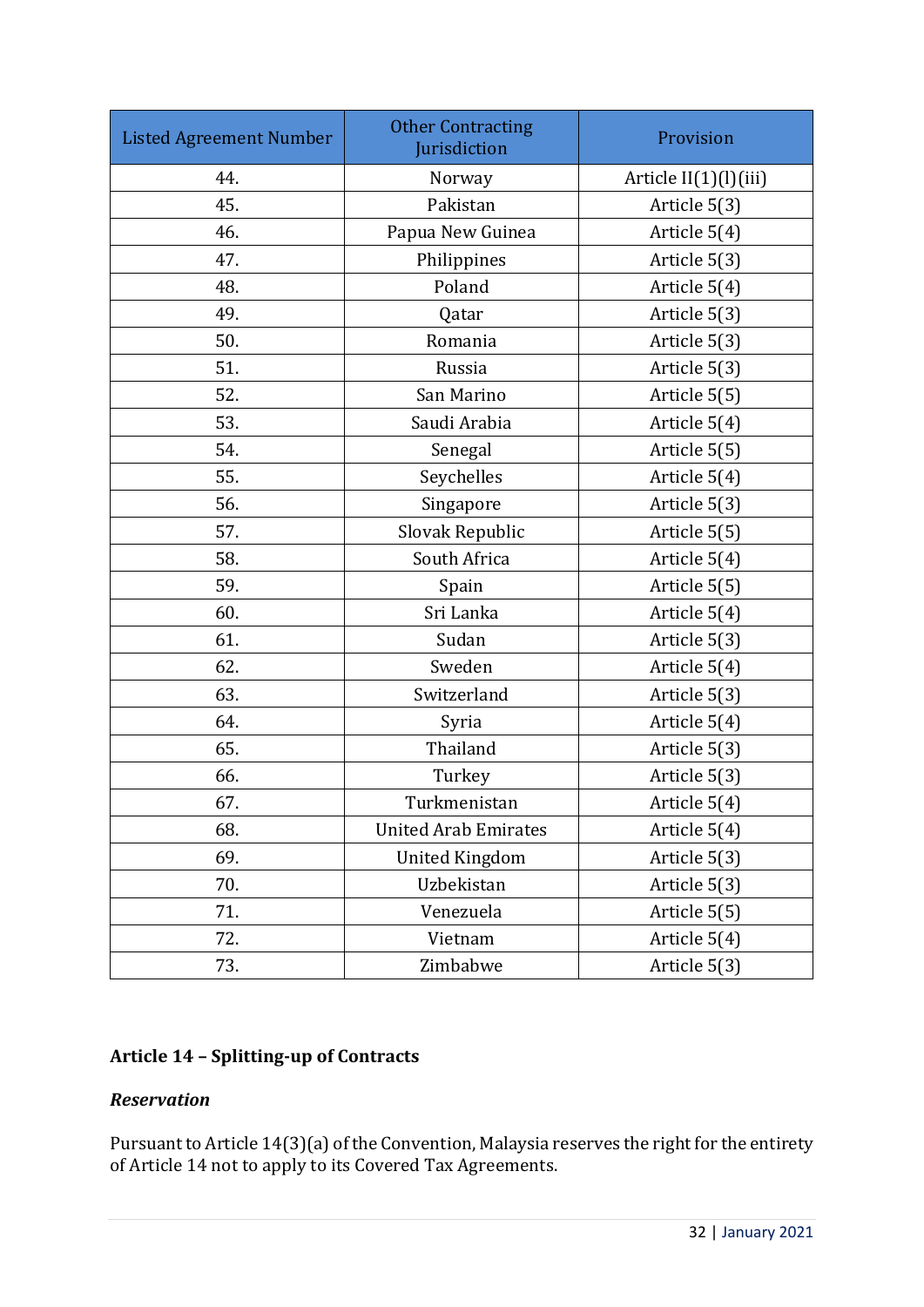| <b>Listed Agreement Number</b> | <b>Other Contracting</b><br>Jurisdiction | Provision             |
|--------------------------------|------------------------------------------|-----------------------|
| 44.                            | Norway                                   | Article II(1)(l)(iii) |
| 45.                            | Pakistan                                 | Article 5(3)          |
| 46.                            | Papua New Guinea                         | Article 5(4)          |
| 47.                            | Philippines                              | Article 5(3)          |
| 48.                            | Poland                                   | Article 5(4)          |
| 49.                            | Qatar                                    | Article 5(3)          |
| 50.                            | Romania                                  | Article 5(3)          |
| 51.                            | Russia                                   | Article 5(3)          |
| 52.                            | San Marino                               | Article 5(5)          |
| 53.                            | Saudi Arabia                             | Article 5(4)          |
| 54.                            | Senegal                                  | Article 5(5)          |
| 55.                            | Seychelles                               | Article 5(4)          |
| 56.                            | Singapore                                | Article 5(3)          |
| 57.                            | Slovak Republic                          | Article 5(5)          |
| 58.                            | South Africa                             | Article 5(4)          |
| 59.                            | Spain                                    | Article 5(5)          |
| 60.                            | Sri Lanka                                | Article 5(4)          |
| 61.                            | Sudan                                    | Article 5(3)          |
| 62.                            | Sweden                                   | Article 5(4)          |
| 63.                            | Switzerland                              | Article 5(3)          |
| 64.                            | Syria                                    | Article 5(4)          |
| 65.                            | Thailand                                 | Article 5(3)          |
| 66.                            | Turkey                                   | Article 5(3)          |
| 67.                            | Turkmenistan                             | Article 5(4)          |
| 68.                            | <b>United Arab Emirates</b>              | Article 5(4)          |
| 69.                            | <b>United Kingdom</b>                    | Article 5(3)          |
| 70.                            | Uzbekistan                               | Article 5(3)          |
| 71.                            | Venezuela                                | Article 5(5)          |
| 72.                            | Vietnam                                  | Article 5(4)          |
| 73.                            | Zimbabwe                                 | Article 5(3)          |

# **Article 14 – Splitting-up of Contracts**

## *Reservation*

Pursuant to Article 14(3)(a) of the Convention, Malaysia reserves the right for the entirety of Article 14 not to apply to its Covered Tax Agreements.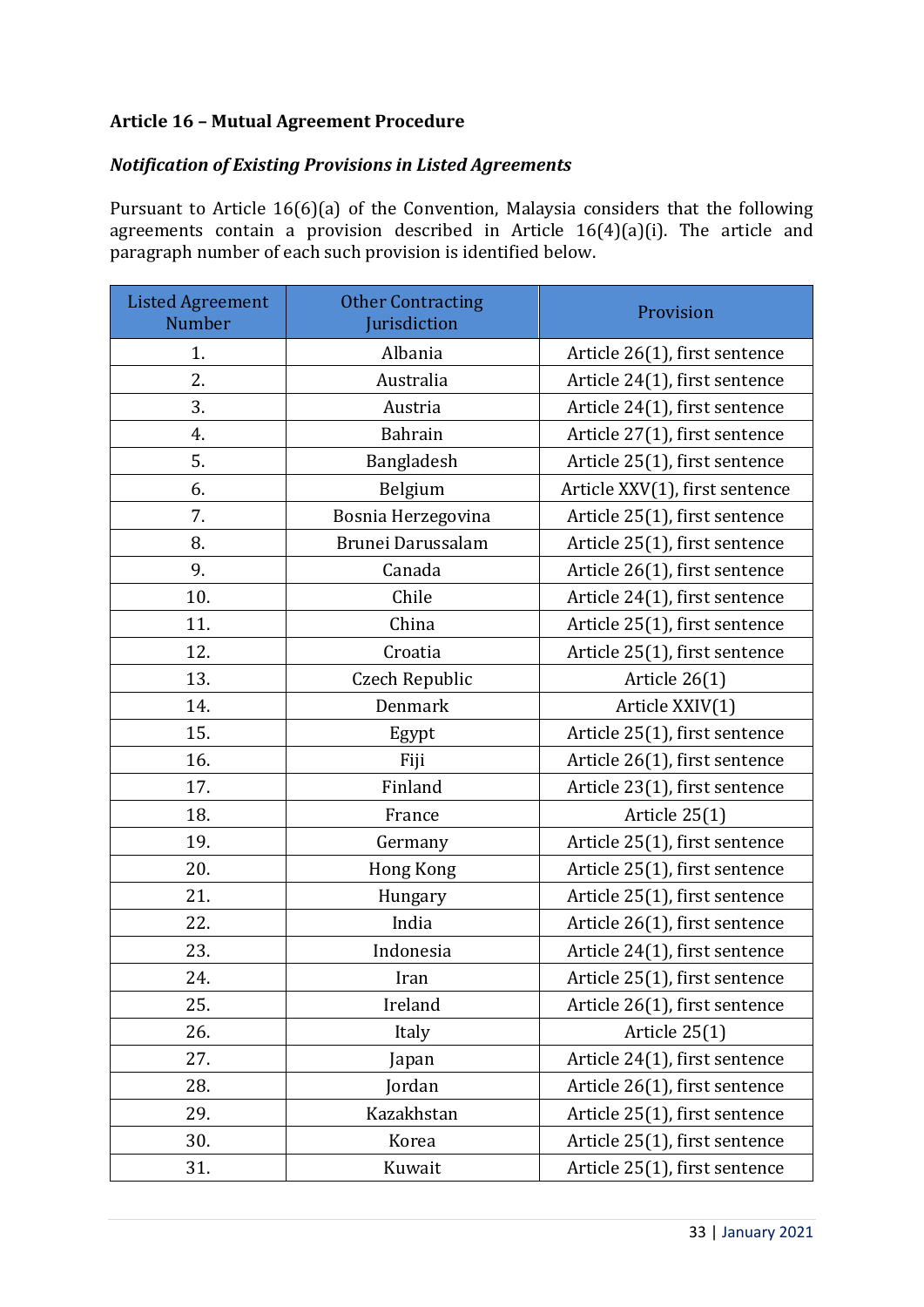## **Article 16 – Mutual Agreement Procedure**

## *Notification of Existing Provisions in Listed Agreements*

Pursuant to Article 16(6)(a) of the Convention, Malaysia considers that the following agreements contain a provision described in Article 16(4)(a)(i). The article and paragraph number of each such provision is identified below.

| <b>Listed Agreement</b><br>Number | <b>Other Contracting</b><br>Jurisdiction | Provision                      |
|-----------------------------------|------------------------------------------|--------------------------------|
| 1.                                | Albania                                  | Article 26(1), first sentence  |
| 2.                                | Australia                                | Article 24(1), first sentence  |
| 3.                                | Austria                                  | Article 24(1), first sentence  |
| 4.                                | Bahrain                                  | Article 27(1), first sentence  |
| 5.                                | Bangladesh                               | Article 25(1), first sentence  |
| 6.                                | Belgium                                  | Article XXV(1), first sentence |
| 7.                                | Bosnia Herzegovina                       | Article 25(1), first sentence  |
| 8.                                | Brunei Darussalam                        | Article 25(1), first sentence  |
| 9.                                | Canada                                   | Article 26(1), first sentence  |
| 10.                               | Chile                                    | Article 24(1), first sentence  |
| 11.                               | China                                    | Article 25(1), first sentence  |
| 12.                               | Croatia                                  | Article 25(1), first sentence  |
| 13.                               | Czech Republic                           | Article 26(1)                  |
| 14.                               | Denmark                                  | Article XXIV(1)                |
| 15.                               | Egypt                                    | Article 25(1), first sentence  |
| 16.                               | Fiji                                     | Article 26(1), first sentence  |
| 17.                               | Finland                                  | Article 23(1), first sentence  |
| 18.                               | France                                   | Article 25(1)                  |
| 19.                               | Germany                                  | Article 25(1), first sentence  |
| 20.                               | <b>Hong Kong</b>                         | Article 25(1), first sentence  |
| 21.                               | Hungary                                  | Article 25(1), first sentence  |
| 22.                               | India                                    | Article 26(1), first sentence  |
| 23.                               | Indonesia                                | Article 24(1), first sentence  |
| 24.                               | Iran                                     | Article 25(1), first sentence  |
| 25.                               | Ireland                                  | Article 26(1), first sentence  |
| 26.                               | Italy                                    | Article 25(1)                  |
| 27.                               | Japan                                    | Article 24(1), first sentence  |
| 28.                               | Jordan                                   | Article 26(1), first sentence  |
| 29.                               | Kazakhstan                               | Article 25(1), first sentence  |
| 30.                               | Korea                                    | Article 25(1), first sentence  |
| 31.                               | Kuwait                                   | Article 25(1), first sentence  |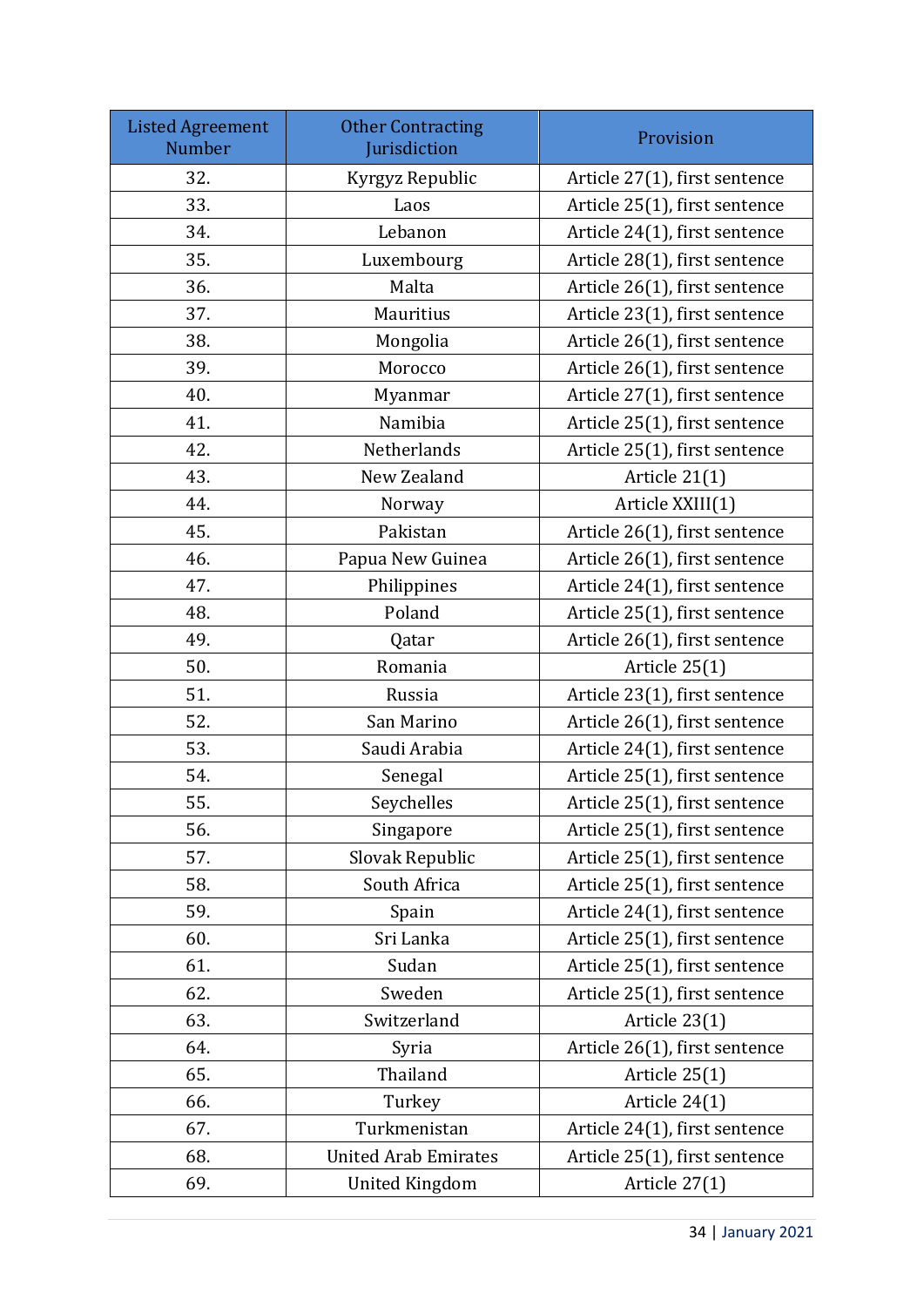| <b>Listed Agreement</b><br>Number | <b>Other Contracting</b><br>Jurisdiction | Provision                     |
|-----------------------------------|------------------------------------------|-------------------------------|
| 32.                               | Kyrgyz Republic                          | Article 27(1), first sentence |
| 33.                               | Laos                                     | Article 25(1), first sentence |
| 34.                               | Lebanon                                  | Article 24(1), first sentence |
| 35.                               | Luxembourg                               | Article 28(1), first sentence |
| 36.                               | Malta                                    | Article 26(1), first sentence |
| 37.                               | Mauritius                                | Article 23(1), first sentence |
| 38.                               | Mongolia                                 | Article 26(1), first sentence |
| 39.                               | Morocco                                  | Article 26(1), first sentence |
| 40.                               | Myanmar                                  | Article 27(1), first sentence |
| 41.                               | Namibia                                  | Article 25(1), first sentence |
| 42.                               | Netherlands                              | Article 25(1), first sentence |
| 43.                               | New Zealand                              | Article 21(1)                 |
| 44.                               | Norway                                   | Article XXIII(1)              |
| 45.                               | Pakistan                                 | Article 26(1), first sentence |
| 46.                               | Papua New Guinea                         | Article 26(1), first sentence |
| 47.                               | Philippines                              | Article 24(1), first sentence |
| 48.                               | Poland                                   | Article 25(1), first sentence |
| 49.                               | Qatar                                    | Article 26(1), first sentence |
| 50.                               | Romania                                  | Article 25(1)                 |
| 51.                               | Russia                                   | Article 23(1), first sentence |
| 52.                               | San Marino                               | Article 26(1), first sentence |
| 53.                               | Saudi Arabia                             | Article 24(1), first sentence |
| 54.                               | Senegal                                  | Article 25(1), first sentence |
| 55.                               | Seychelles                               | Article 25(1), first sentence |
| 56.                               | Singapore                                | Article 25(1), first sentence |
| 57.                               | Slovak Republic                          | Article 25(1), first sentence |
| 58.                               | South Africa                             | Article 25(1), first sentence |
| 59.                               | Spain                                    | Article 24(1), first sentence |
| 60.                               | Sri Lanka                                | Article 25(1), first sentence |
| 61.                               | Sudan                                    | Article 25(1), first sentence |
| 62.                               | Sweden                                   | Article 25(1), first sentence |
| 63.                               | Switzerland                              | Article 23(1)                 |
| 64.                               | Syria                                    | Article 26(1), first sentence |
| 65.                               | Thailand                                 | Article 25(1)                 |
| 66.                               | Turkey                                   | Article 24(1)                 |
| 67.                               | Turkmenistan                             | Article 24(1), first sentence |
| 68.                               | <b>United Arab Emirates</b>              | Article 25(1), first sentence |
| 69.                               | <b>United Kingdom</b>                    | Article 27(1)                 |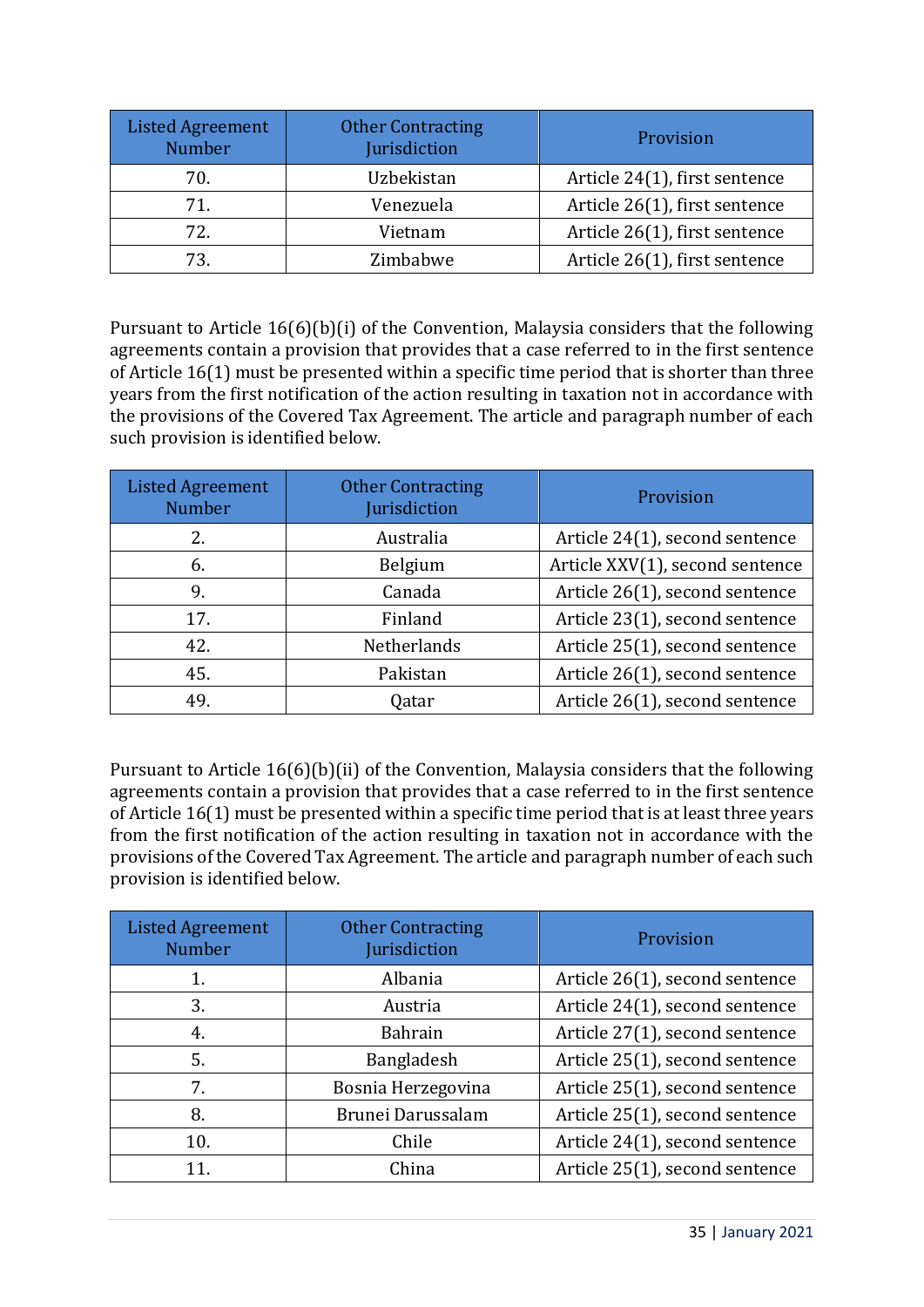| <b>Listed Agreement</b><br><b>Number</b> | <b>Other Contracting</b><br>Jurisdiction | Provision                     |
|------------------------------------------|------------------------------------------|-------------------------------|
| 70.                                      | Uzbekistan                               | Article 24(1), first sentence |
| 71.                                      | Venezuela                                | Article 26(1), first sentence |
| 72.                                      | Vietnam                                  | Article 26(1), first sentence |
| 73.                                      | Zimbabwe                                 | Article 26(1), first sentence |

Pursuant to Article 16(6)(b)(i) of the Convention, Malaysia considers that the following agreements contain a provision that provides that a case referred to in the first sentence of Article 16(1) must be presented within a specific time period that is shorter than three years from the first notification of the action resulting in taxation not in accordance with the provisions of the Covered Tax Agreement. The article and paragraph number of each such provision is identified below.

| <b>Listed Agreement</b><br><b>Number</b> | <b>Other Contracting</b><br>Jurisdiction | Provision                       |
|------------------------------------------|------------------------------------------|---------------------------------|
| 2.                                       | Australia                                | Article 24(1), second sentence  |
| 6.                                       | Belgium                                  | Article XXV(1), second sentence |
| 9.                                       | Canada                                   | Article 26(1), second sentence  |
| 17.                                      | Finland                                  | Article 23(1), second sentence  |
| 42.                                      | Netherlands                              | Article 25(1), second sentence  |
| 45.                                      | Pakistan                                 | Article 26(1), second sentence  |
| 49.                                      | Qatar                                    | Article 26(1), second sentence  |

Pursuant to Article 16(6)(b)(ii) of the Convention, Malaysia considers that the following agreements contain a provision that provides that a case referred to in the first sentence of Article 16(1) must be presented within a specific time period that is at least three years from the first notification of the action resulting in taxation not in accordance with the provisions of the Covered Tax Agreement. The article and paragraph number of each such provision is identified below.

| <b>Listed Agreement</b><br><b>Number</b> | <b>Other Contracting</b><br>Jurisdiction | Provision                      |
|------------------------------------------|------------------------------------------|--------------------------------|
| 1.                                       | Albania                                  | Article 26(1), second sentence |
| 3.                                       | Austria                                  | Article 24(1), second sentence |
| 4.                                       | Bahrain                                  | Article 27(1), second sentence |
| 5.                                       | Bangladesh                               | Article 25(1), second sentence |
| 7.                                       | Bosnia Herzegovina                       | Article 25(1), second sentence |
| 8.                                       | Brunei Darussalam                        | Article 25(1), second sentence |
| 10.                                      | Chile                                    | Article 24(1), second sentence |
| 11.                                      | China                                    | Article 25(1), second sentence |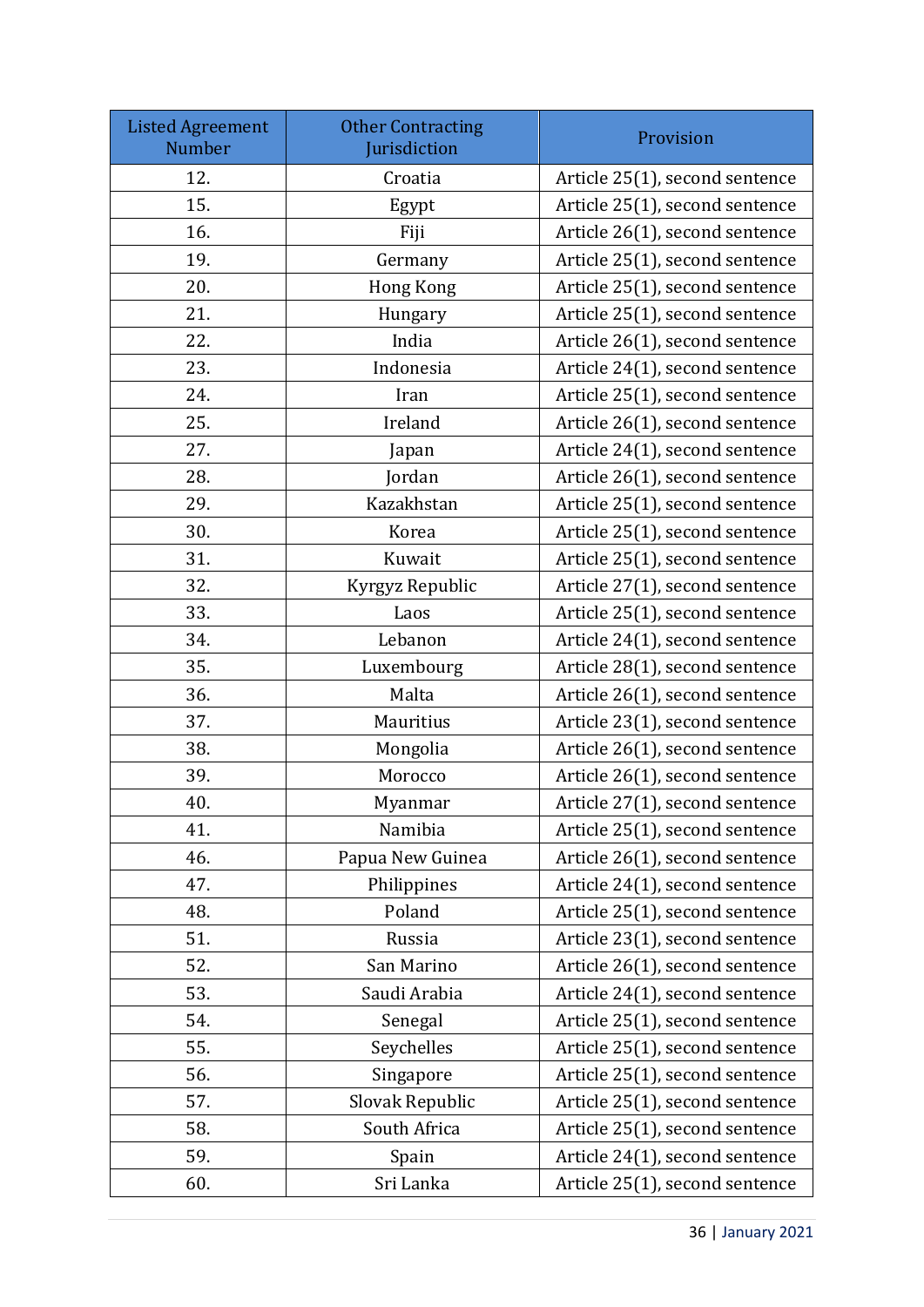| <b>Listed Agreement</b><br>Number | <b>Other Contracting</b><br>Jurisdiction | Provision                      |
|-----------------------------------|------------------------------------------|--------------------------------|
| 12.                               | Croatia                                  | Article 25(1), second sentence |
| 15.                               | Egypt                                    | Article 25(1), second sentence |
| 16.                               | Fiji                                     | Article 26(1), second sentence |
| 19.                               | Germany                                  | Article 25(1), second sentence |
| 20.                               | Hong Kong                                | Article 25(1), second sentence |
| 21.                               | Hungary                                  | Article 25(1), second sentence |
| 22.                               | India                                    | Article 26(1), second sentence |
| 23.                               | Indonesia                                | Article 24(1), second sentence |
| 24.                               | Iran                                     | Article 25(1), second sentence |
| 25.                               | Ireland                                  | Article 26(1), second sentence |
| 27.                               | Japan                                    | Article 24(1), second sentence |
| 28.                               | Jordan                                   | Article 26(1), second sentence |
| 29.                               | Kazakhstan                               | Article 25(1), second sentence |
| 30.                               | Korea                                    | Article 25(1), second sentence |
| 31.                               | Kuwait                                   | Article 25(1), second sentence |
| 32.                               | Kyrgyz Republic                          | Article 27(1), second sentence |
| 33.                               | Laos                                     | Article 25(1), second sentence |
| 34.                               | Lebanon                                  | Article 24(1), second sentence |
| 35.                               | Luxembourg                               | Article 28(1), second sentence |
| 36.                               | Malta                                    | Article 26(1), second sentence |
| 37.                               | Mauritius                                | Article 23(1), second sentence |
| 38.                               | Mongolia                                 | Article 26(1), second sentence |
| 39.                               | Morocco                                  | Article 26(1), second sentence |
| 40.                               | Myanmar                                  | Article 27(1), second sentence |
| 41.                               | Namibia                                  | Article 25(1), second sentence |
| 46.                               | Papua New Guinea                         | Article 26(1), second sentence |
| 47.                               | Philippines                              | Article 24(1), second sentence |
| 48.                               | Poland                                   | Article 25(1), second sentence |
| 51.                               | Russia                                   | Article 23(1), second sentence |
| 52.                               | San Marino                               | Article 26(1), second sentence |
| 53.                               | Saudi Arabia                             | Article 24(1), second sentence |
| 54.                               | Senegal                                  | Article 25(1), second sentence |
| 55.                               | Seychelles                               | Article 25(1), second sentence |
| 56.                               | Singapore                                | Article 25(1), second sentence |
| 57.                               | Slovak Republic                          | Article 25(1), second sentence |
| 58.                               | South Africa                             | Article 25(1), second sentence |
| 59.                               | Spain                                    | Article 24(1), second sentence |
| 60.                               | Sri Lanka                                | Article 25(1), second sentence |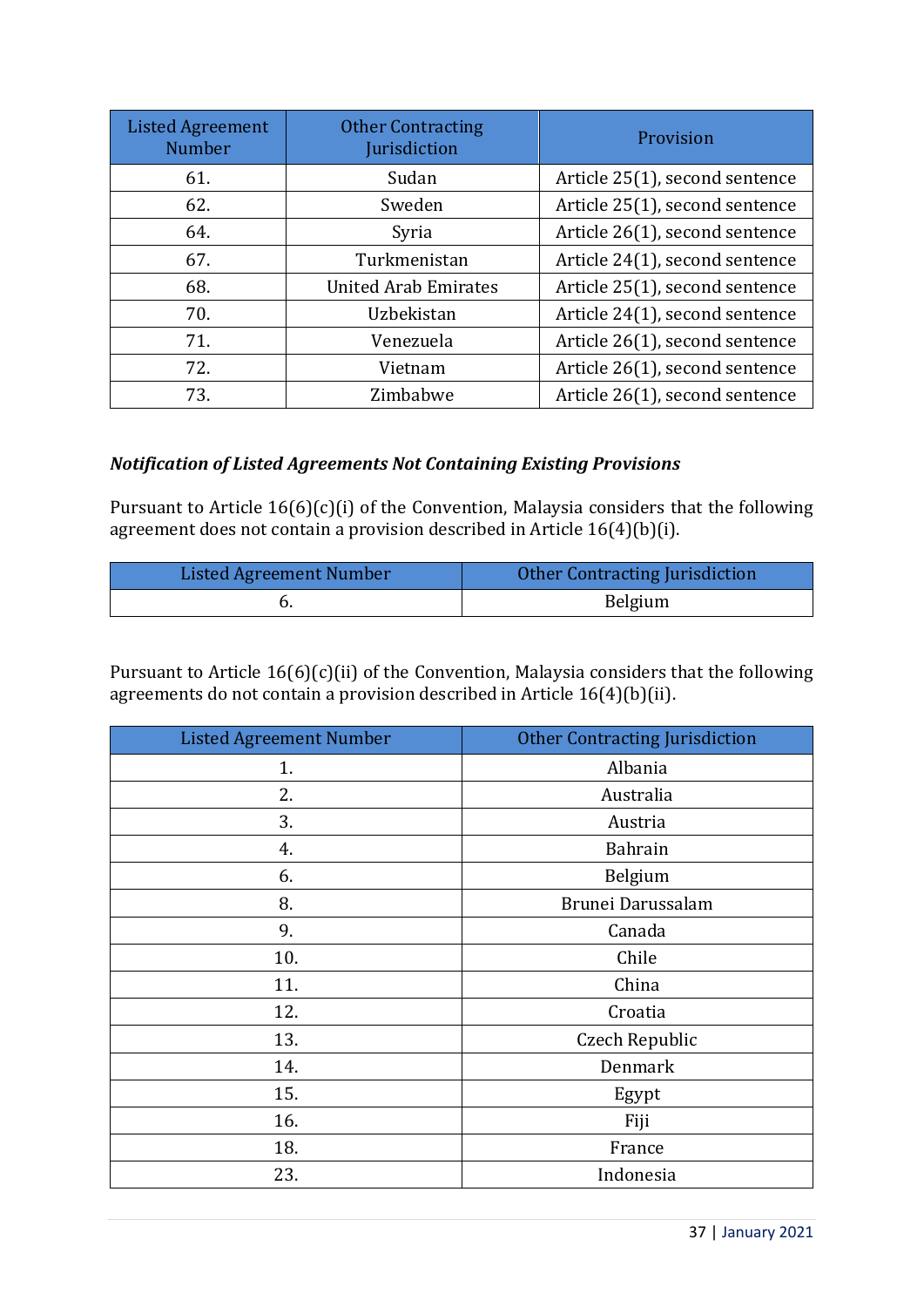| <b>Listed Agreement</b><br><b>Number</b> | <b>Other Contracting</b><br>Jurisdiction | Provision                      |
|------------------------------------------|------------------------------------------|--------------------------------|
| 61.                                      | Sudan                                    | Article 25(1), second sentence |
| 62.                                      | Sweden                                   | Article 25(1), second sentence |
| 64.                                      | Syria                                    | Article 26(1), second sentence |
| 67.                                      | Turkmenistan                             | Article 24(1), second sentence |
| 68.                                      | <b>United Arab Emirates</b>              | Article 25(1), second sentence |
| 70.                                      | Uzbekistan                               | Article 24(1), second sentence |
| 71.                                      | Venezuela                                | Article 26(1), second sentence |
| 72.                                      | Vietnam                                  | Article 26(1), second sentence |
| 73.                                      | Zimbabwe                                 | Article 26(1), second sentence |

#### *Notification of Listed Agreements Not Containing Existing Provisions*

Pursuant to Article 16(6)(c)(i) of the Convention, Malaysia considers that the following agreement does not contain a provision described in Article  $16(4)(b)(i)$ .

| <b>Listed Agreement Number</b> | Other Contracting Jurisdiction |
|--------------------------------|--------------------------------|
|                                | Belgium                        |

Pursuant to Article  $16(6)(c)(ii)$  of the Convention, Malaysia considers that the following agreements do not contain a provision described in Article 16(4)(b)(ii).

| <b>Listed Agreement Number</b> | <b>Other Contracting Jurisdiction</b> |  |
|--------------------------------|---------------------------------------|--|
| 1.                             | Albania                               |  |
| 2.                             | Australia                             |  |
| 3.                             | Austria                               |  |
| 4.                             | <b>Bahrain</b>                        |  |
| 6.                             | Belgium                               |  |
| 8.                             | Brunei Darussalam                     |  |
| 9.                             | Canada                                |  |
| 10.                            | Chile                                 |  |
| 11.                            | China                                 |  |
| 12.                            | Croatia                               |  |
| 13.                            | Czech Republic                        |  |
| 14.                            | Denmark                               |  |
| 15.                            | Egypt                                 |  |
| 16.                            | Fiji                                  |  |
| 18.                            | France                                |  |
| 23.                            | Indonesia                             |  |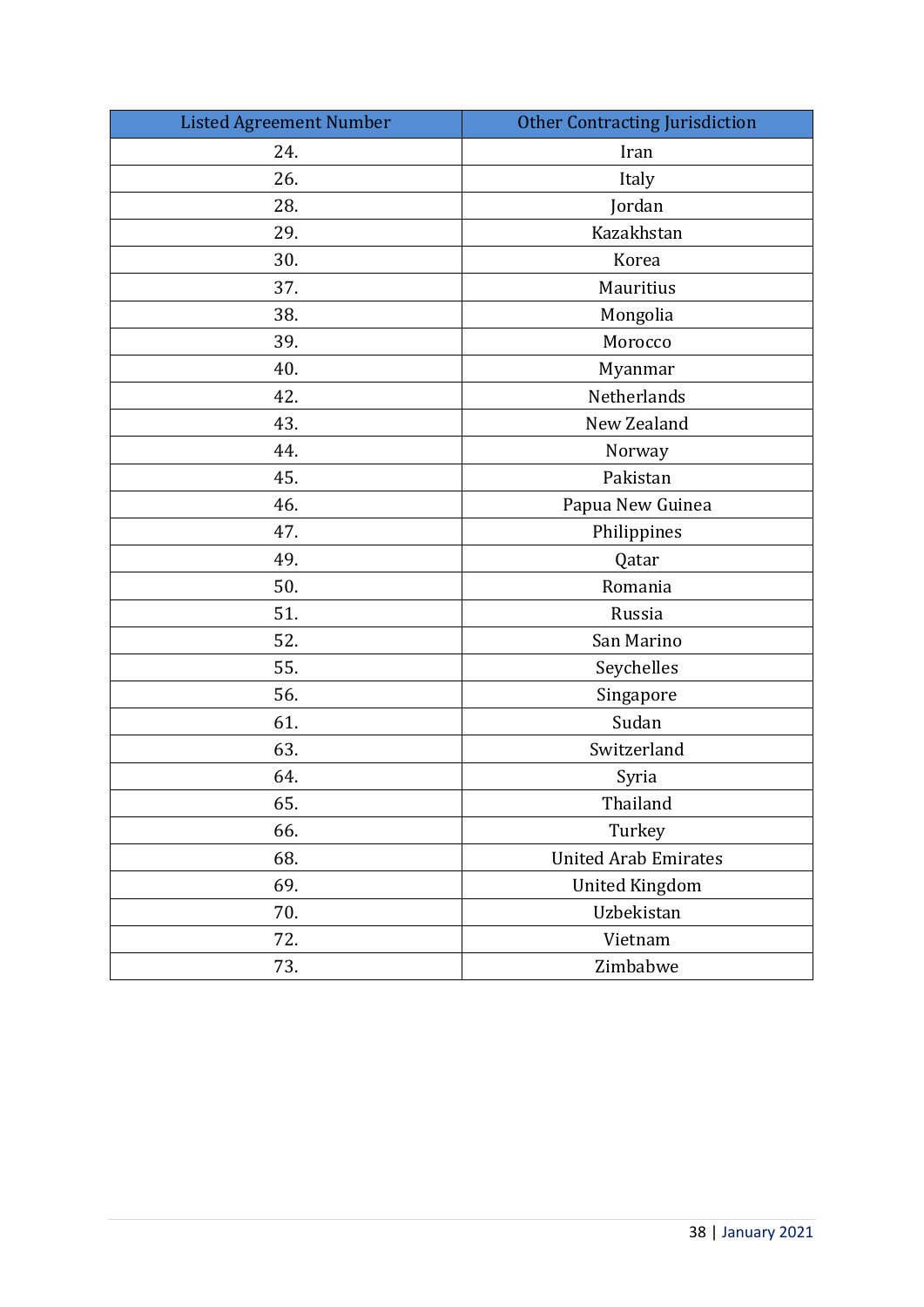| <b>Listed Agreement Number</b> | <b>Other Contracting Jurisdiction</b> |  |
|--------------------------------|---------------------------------------|--|
| 24.                            | Iran                                  |  |
| 26.                            | Italy                                 |  |
| 28.                            | Jordan                                |  |
| 29.                            | Kazakhstan                            |  |
| 30.                            | Korea                                 |  |
| 37.                            | Mauritius                             |  |
| 38.                            | Mongolia                              |  |
| 39.                            | Morocco                               |  |
| 40.                            | Myanmar                               |  |
| 42.                            | Netherlands                           |  |
| 43.                            | New Zealand                           |  |
| 44.                            | Norway                                |  |
| 45.                            | Pakistan                              |  |
| 46.                            | Papua New Guinea                      |  |
| 47.                            | Philippines                           |  |
| 49.                            | Qatar                                 |  |
| 50.                            | Romania                               |  |
| 51.                            | Russia                                |  |
| 52.                            | San Marino                            |  |
| 55.                            | Seychelles                            |  |
| 56.                            | Singapore                             |  |
| 61.                            | Sudan                                 |  |
| 63.                            | Switzerland                           |  |
| 64.                            | Syria                                 |  |
| 65                             | Thailand                              |  |
| 66.                            | Turkey                                |  |
| 68.                            | <b>United Arab Emirates</b>           |  |
| 69.                            | <b>United Kingdom</b>                 |  |
| 70.                            | Uzbekistan                            |  |
| 72.                            | Vietnam                               |  |
| 73.                            | Zimbabwe                              |  |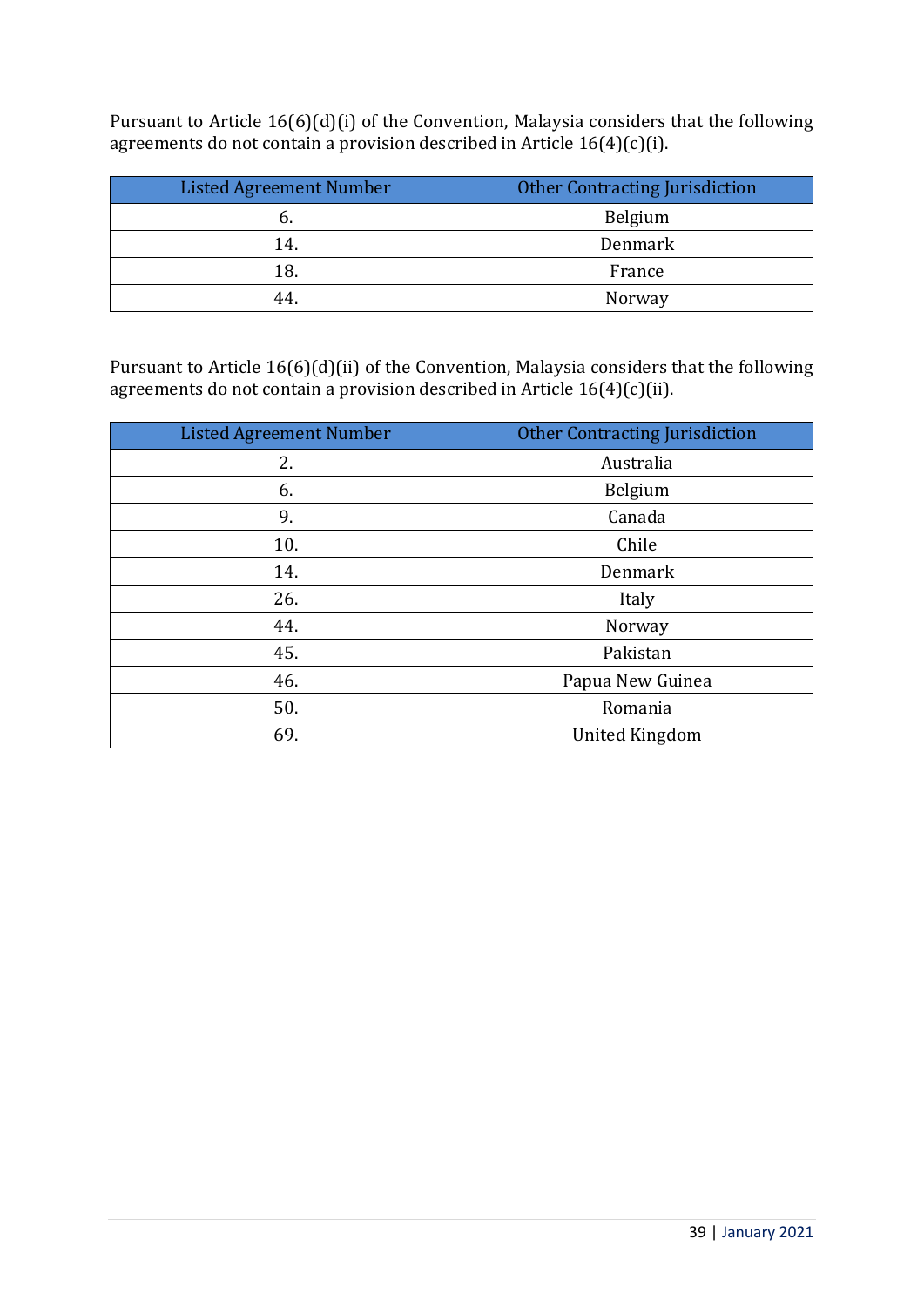Pursuant to Article 16(6)(d)(i) of the Convention, Malaysia considers that the following agreements do not contain a provision described in Article 16(4)(c)(i).

| <b>Listed Agreement Number</b> | <b>Other Contracting Jurisdiction</b> |  |
|--------------------------------|---------------------------------------|--|
|                                | Belgium                               |  |
| 14.                            | Denmark                               |  |
| 18.                            | France                                |  |
| 44                             | Norway                                |  |

Pursuant to Article 16(6)(d)(ii) of the Convention, Malaysia considers that the following agreements do not contain a provision described in Article  $16(4)(c)(ii)$ .

| <b>Listed Agreement Number</b> | <b>Other Contracting Jurisdiction</b> |  |
|--------------------------------|---------------------------------------|--|
| 2.                             | Australia                             |  |
| 6.                             | Belgium                               |  |
| 9.                             | Canada                                |  |
| 10.                            | Chile                                 |  |
| 14.                            | Denmark                               |  |
| 26.                            | Italy                                 |  |
| 44.                            | Norway                                |  |
| 45.                            | Pakistan                              |  |
| 46.                            | Papua New Guinea                      |  |
| 50.                            | Romania                               |  |
| 69.                            | <b>United Kingdom</b>                 |  |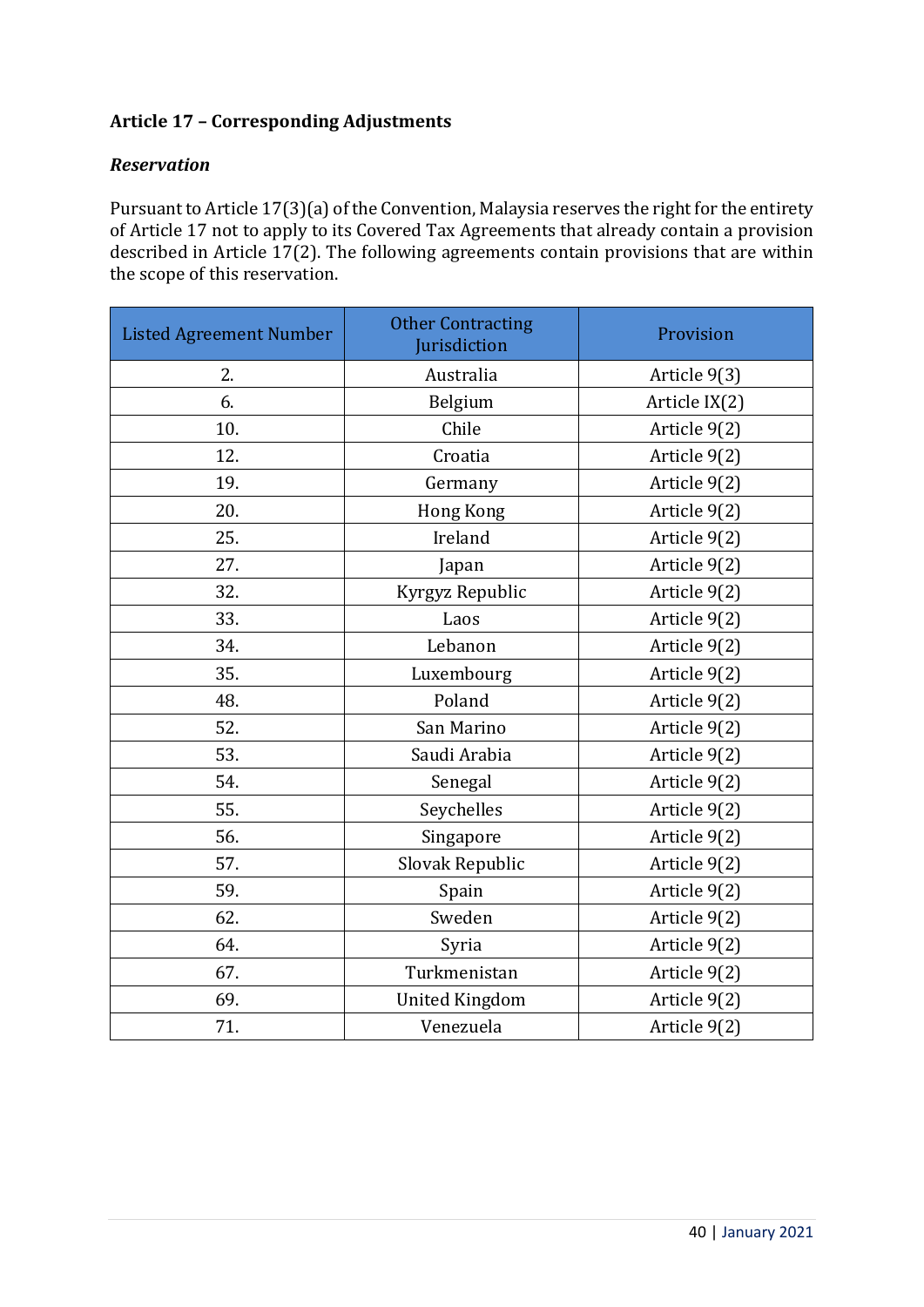## **Article 17 – Corresponding Adjustments**

## *Reservation*

Pursuant to Article 17(3)(a) of the Convention, Malaysia reserves the right for the entirety of Article 17 not to apply to its Covered Tax Agreements that already contain a provision described in Article 17(2). The following agreements contain provisions that are within the scope of this reservation.

| <b>Listed Agreement Number</b> | <b>Other Contracting</b><br>Jurisdiction | Provision     |
|--------------------------------|------------------------------------------|---------------|
| 2.                             | Australia                                | Article 9(3)  |
| 6.                             | Belgium                                  | Article IX(2) |
| 10.                            | Chile                                    | Article 9(2)  |
| 12.                            | Croatia                                  | Article 9(2)  |
| 19.                            | Germany                                  | Article 9(2)  |
| 20.                            | Hong Kong                                | Article 9(2)  |
| 25.                            | Ireland                                  | Article 9(2)  |
| 27.                            | Japan                                    | Article 9(2)  |
| 32.                            | Kyrgyz Republic                          | Article 9(2)  |
| 33.                            | Laos                                     | Article 9(2)  |
| 34.                            | Lebanon                                  | Article 9(2)  |
| 35.                            | Luxembourg                               | Article 9(2)  |
| 48.                            | Poland                                   | Article 9(2)  |
| 52.                            | San Marino                               | Article 9(2)  |
| 53.                            | Saudi Arabia                             | Article 9(2)  |
| 54.                            | Senegal                                  | Article 9(2)  |
| 55.                            | Seychelles                               | Article 9(2)  |
| 56.                            | Singapore                                | Article 9(2)  |
| 57.                            | Slovak Republic                          | Article 9(2)  |
| 59.                            | Spain                                    | Article 9(2)  |
| 62.                            | Sweden                                   | Article 9(2)  |
| 64.                            | Syria                                    | Article 9(2)  |
| 67.                            | Turkmenistan                             | Article 9(2)  |
| 69.                            | <b>United Kingdom</b>                    | Article 9(2)  |
| 71.                            | Venezuela                                | Article 9(2)  |